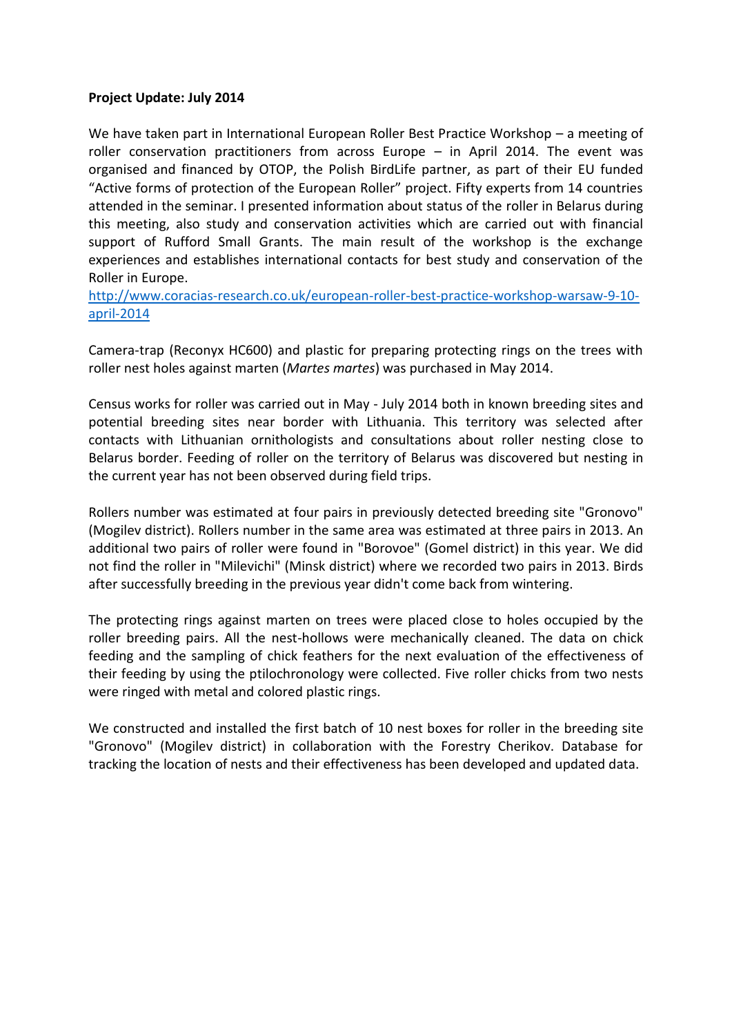## **Project Update: July 2014**

We have taken part in International European Roller Best Practice Workshop – a meeting of roller conservation practitioners from across Europe – in April 2014. The event was organised and financed by OTOP, the Polish BirdLife partner, as part of their EU funded "Active forms of protection of the European Roller" project. Fifty experts from 14 countries attended in the seminar. I presented information about status of the roller in Belarus during this meeting, also study and conservation activities which are carried out with financial support of Rufford Small Grants. The main result of the workshop is the exchange experiences and establishes international contacts for best study and conservation of the Roller in Europe.

[http://www.coracias-research.co.uk/european-roller-best-practice-workshop-warsaw-9-10](http://www.coracias-research.co.uk/european-roller-best-practice-workshop-warsaw-9-10-april-2014) [april-2014](http://www.coracias-research.co.uk/european-roller-best-practice-workshop-warsaw-9-10-april-2014)

Сamera-trap (Reconyx HC600) and plastic for preparing protecting rings on the trees with roller nest holes against marten (*Martes martes*) was purchased in May 2014.

Census works for roller was carried out in May - July 2014 both in known breeding sites and potential breeding sites near border with Lithuania. This territory was selected after contacts with Lithuanian ornithologists and consultations about roller nesting close to Belarus border. Feeding of roller on the territory of Belarus was discovered but nesting in the current year has not been observed during field trips.

Rollers number was estimated at four pairs in previously detected breeding site "Gronovo" (Mogilev district). Rollers number in the same area was estimated at three pairs in 2013. An additional two pairs of roller were found in "Borovoe" (Gomel district) in this year. We did not find the roller in "Milevichi" (Minsk district) where we recorded two pairs in 2013. Birds after successfully breeding in the previous year didn't come back from wintering.

The protecting rings against marten on trees were placed close to holes occupied by the roller breeding pairs. All the nest-hollows were mechanically cleaned. The data on chick feeding and the sampling of chick feathers for the next evaluation of the effectiveness of their feeding by using the ptilochronology were collected. Five roller chicks from two nests were ringed with metal and colored plastic rings.

We constructed and installed the first batch of 10 nest boxes for roller in the breeding site "Gronovo" (Mogilev district) in collaboration with the Forestry Cherikov. Database for tracking the location of nests and their effectiveness has been developed and updated data.